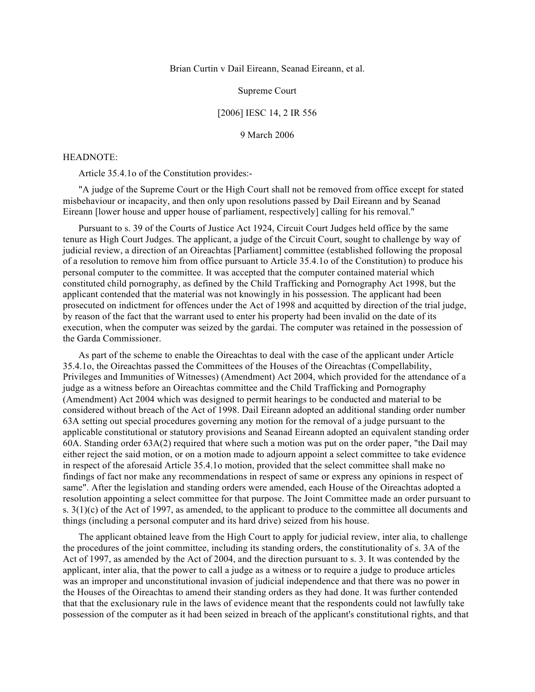Brian Curtin v Dail Eireann, Seanad Eireann, et al.

## Supreme Court

## [2006] IESC 14, 2 IR 556

## 9 March 2006

#### HEADNOTE:

Article 35.4.1o of the Constitution provides:-

"A judge of the Supreme Court or the High Court shall not be removed from office except for stated misbehaviour or incapacity, and then only upon resolutions passed by Dail Eireann and by Seanad Eireann [lower house and upper house of parliament, respectively] calling for his removal."

Pursuant to s. 39 of the Courts of Justice Act 1924, Circuit Court Judges held office by the same tenure as High Court Judges. The applicant, a judge of the Circuit Court, sought to challenge by way of judicial review, a direction of an Oireachtas [Parliament] committee (established following the proposal of a resolution to remove him from office pursuant to Article 35.4.1o of the Constitution) to produce his personal computer to the committee. It was accepted that the computer contained material which constituted child pornography, as defined by the Child Trafficking and Pornography Act 1998, but the applicant contended that the material was not knowingly in his possession. The applicant had been prosecuted on indictment for offences under the Act of 1998 and acquitted by direction of the trial judge, by reason of the fact that the warrant used to enter his property had been invalid on the date of its execution, when the computer was seized by the gardai. The computer was retained in the possession of the Garda Commissioner.

As part of the scheme to enable the Oireachtas to deal with the case of the applicant under Article 35.4.1o, the Oireachtas passed the Committees of the Houses of the Oireachtas (Compellability, Privileges and Immunities of Witnesses) (Amendment) Act 2004, which provided for the attendance of a judge as a witness before an Oireachtas committee and the Child Trafficking and Pornography (Amendment) Act 2004 which was designed to permit hearings to be conducted and material to be considered without breach of the Act of 1998. Dail Eireann adopted an additional standing order number 63A setting out special procedures governing any motion for the removal of a judge pursuant to the applicable constitutional or statutory provisions and Seanad Eireann adopted an equivalent standing order 60A. Standing order 63A(2) required that where such a motion was put on the order paper, "the Dail may either reject the said motion, or on a motion made to adjourn appoint a select committee to take evidence in respect of the aforesaid Article 35.4.1o motion, provided that the select committee shall make no findings of fact nor make any recommendations in respect of same or express any opinions in respect of same". After the legislation and standing orders were amended, each House of the Oireachtas adopted a resolution appointing a select committee for that purpose. The Joint Committee made an order pursuant to s. 3(1)(c) of the Act of 1997, as amended, to the applicant to produce to the committee all documents and things (including a personal computer and its hard drive) seized from his house.

The applicant obtained leave from the High Court to apply for judicial review, inter alia, to challenge the procedures of the joint committee, including its standing orders, the constitutionality of s. 3A of the Act of 1997, as amended by the Act of 2004, and the direction pursuant to s. 3. It was contended by the applicant, inter alia, that the power to call a judge as a witness or to require a judge to produce articles was an improper and unconstitutional invasion of judicial independence and that there was no power in the Houses of the Oireachtas to amend their standing orders as they had done. It was further contended that that the exclusionary rule in the laws of evidence meant that the respondents could not lawfully take possession of the computer as it had been seized in breach of the applicant's constitutional rights, and that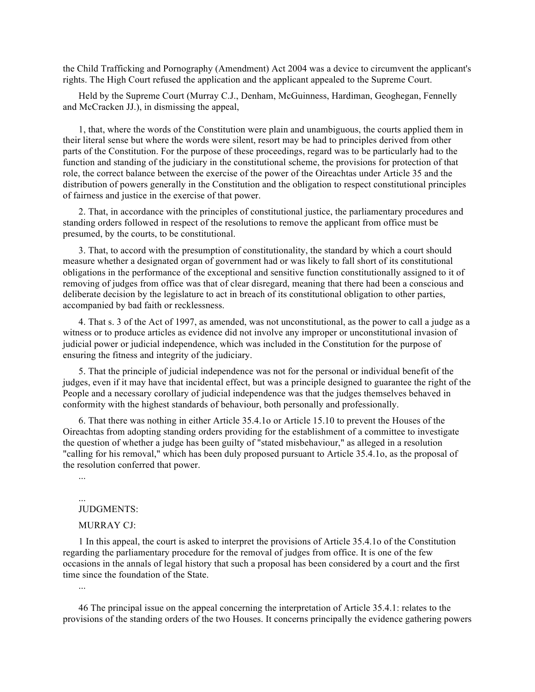the Child Trafficking and Pornography (Amendment) Act 2004 was a device to circumvent the applicant's rights. The High Court refused the application and the applicant appealed to the Supreme Court.

Held by the Supreme Court (Murray C.J., Denham, McGuinness, Hardiman, Geoghegan, Fennelly and McCracken JJ.), in dismissing the appeal,

1, that, where the words of the Constitution were plain and unambiguous, the courts applied them in their literal sense but where the words were silent, resort may be had to principles derived from other parts of the Constitution. For the purpose of these proceedings, regard was to be particularly had to the function and standing of the judiciary in the constitutional scheme, the provisions for protection of that role, the correct balance between the exercise of the power of the Oireachtas under Article 35 and the distribution of powers generally in the Constitution and the obligation to respect constitutional principles of fairness and justice in the exercise of that power.

2. That, in accordance with the principles of constitutional justice, the parliamentary procedures and standing orders followed in respect of the resolutions to remove the applicant from office must be presumed, by the courts, to be constitutional.

3. That, to accord with the presumption of constitutionality, the standard by which a court should measure whether a designated organ of government had or was likely to fall short of its constitutional obligations in the performance of the exceptional and sensitive function constitutionally assigned to it of removing of judges from office was that of clear disregard, meaning that there had been a conscious and deliberate decision by the legislature to act in breach of its constitutional obligation to other parties, accompanied by bad faith or recklessness.

4. That s. 3 of the Act of 1997, as amended, was not unconstitutional, as the power to call a judge as a witness or to produce articles as evidence did not involve any improper or unconstitutional invasion of judicial power or judicial independence, which was included in the Constitution for the purpose of ensuring the fitness and integrity of the judiciary.

5. That the principle of judicial independence was not for the personal or individual benefit of the judges, even if it may have that incidental effect, but was a principle designed to guarantee the right of the People and a necessary corollary of judicial independence was that the judges themselves behaved in conformity with the highest standards of behaviour, both personally and professionally.

6. That there was nothing in either Article 35.4.1o or Article 15.10 to prevent the Houses of the Oireachtas from adopting standing orders providing for the establishment of a committee to investigate the question of whether a judge has been guilty of "stated misbehaviour," as alleged in a resolution "calling for his removal," which has been duly proposed pursuant to Article 35.4.1o, as the proposal of the resolution conferred that power.

...

...

## JUDGMENTS:

## MURRAY CJ:

1 In this appeal, the court is asked to interpret the provisions of Article 35.4.1o of the Constitution regarding the parliamentary procedure for the removal of judges from office. It is one of the few occasions in the annals of legal history that such a proposal has been considered by a court and the first time since the foundation of the State.

46 The principal issue on the appeal concerning the interpretation of Article 35.4.1: relates to the provisions of the standing orders of the two Houses. It concerns principally the evidence gathering powers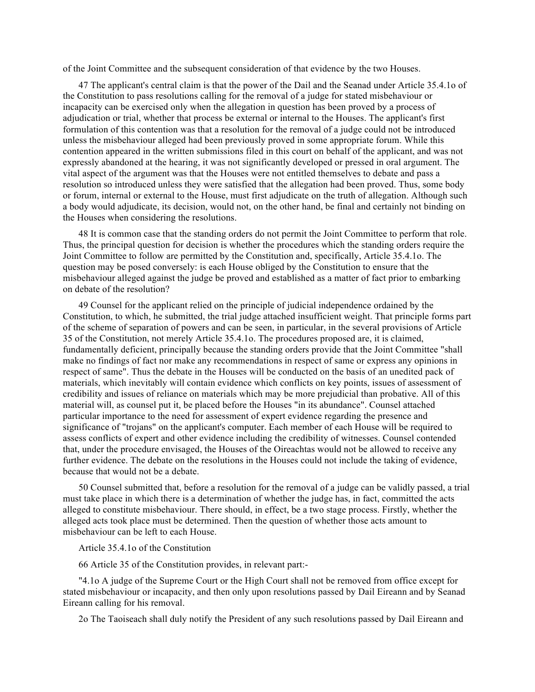of the Joint Committee and the subsequent consideration of that evidence by the two Houses.

47 The applicant's central claim is that the power of the Dail and the Seanad under Article 35.4.1o of the Constitution to pass resolutions calling for the removal of a judge for stated misbehaviour or incapacity can be exercised only when the allegation in question has been proved by a process of adjudication or trial, whether that process be external or internal to the Houses. The applicant's first formulation of this contention was that a resolution for the removal of a judge could not be introduced unless the misbehaviour alleged had been previously proved in some appropriate forum. While this contention appeared in the written submissions filed in this court on behalf of the applicant, and was not expressly abandoned at the hearing, it was not significantly developed or pressed in oral argument. The vital aspect of the argument was that the Houses were not entitled themselves to debate and pass a resolution so introduced unless they were satisfied that the allegation had been proved. Thus, some body or forum, internal or external to the House, must first adjudicate on the truth of allegation. Although such a body would adjudicate, its decision, would not, on the other hand, be final and certainly not binding on the Houses when considering the resolutions.

48 It is common case that the standing orders do not permit the Joint Committee to perform that role. Thus, the principal question for decision is whether the procedures which the standing orders require the Joint Committee to follow are permitted by the Constitution and, specifically, Article 35.4.1o. The question may be posed conversely: is each House obliged by the Constitution to ensure that the misbehaviour alleged against the judge be proved and established as a matter of fact prior to embarking on debate of the resolution?

49 Counsel for the applicant relied on the principle of judicial independence ordained by the Constitution, to which, he submitted, the trial judge attached insufficient weight. That principle forms part of the scheme of separation of powers and can be seen, in particular, in the several provisions of Article 35 of the Constitution, not merely Article 35.4.1o. The procedures proposed are, it is claimed, fundamentally deficient, principally because the standing orders provide that the Joint Committee "shall make no findings of fact nor make any recommendations in respect of same or express any opinions in respect of same". Thus the debate in the Houses will be conducted on the basis of an unedited pack of materials, which inevitably will contain evidence which conflicts on key points, issues of assessment of credibility and issues of reliance on materials which may be more prejudicial than probative. All of this material will, as counsel put it, be placed before the Houses "in its abundance". Counsel attached particular importance to the need for assessment of expert evidence regarding the presence and significance of "trojans" on the applicant's computer. Each member of each House will be required to assess conflicts of expert and other evidence including the credibility of witnesses. Counsel contended that, under the procedure envisaged, the Houses of the Oireachtas would not be allowed to receive any further evidence. The debate on the resolutions in the Houses could not include the taking of evidence, because that would not be a debate.

50 Counsel submitted that, before a resolution for the removal of a judge can be validly passed, a trial must take place in which there is a determination of whether the judge has, in fact, committed the acts alleged to constitute misbehaviour. There should, in effect, be a two stage process. Firstly, whether the alleged acts took place must be determined. Then the question of whether those acts amount to misbehaviour can be left to each House.

Article 35.4.1o of the Constitution

66 Article 35 of the Constitution provides, in relevant part:-

"4.1o A judge of the Supreme Court or the High Court shall not be removed from office except for stated misbehaviour or incapacity, and then only upon resolutions passed by Dail Eireann and by Seanad Eireann calling for his removal.

2o The Taoiseach shall duly notify the President of any such resolutions passed by Dail Eireann and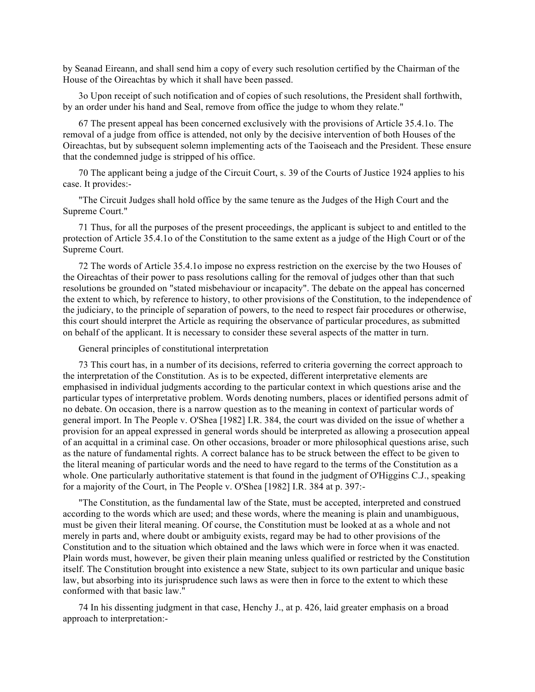by Seanad Eireann, and shall send him a copy of every such resolution certified by the Chairman of the House of the Oireachtas by which it shall have been passed.

3o Upon receipt of such notification and of copies of such resolutions, the President shall forthwith, by an order under his hand and Seal, remove from office the judge to whom they relate."

67 The present appeal has been concerned exclusively with the provisions of Article 35.4.1o. The removal of a judge from office is attended, not only by the decisive intervention of both Houses of the Oireachtas, but by subsequent solemn implementing acts of the Taoiseach and the President. These ensure that the condemned judge is stripped of his office.

70 The applicant being a judge of the Circuit Court, s. 39 of the Courts of Justice 1924 applies to his case. It provides:-

"The Circuit Judges shall hold office by the same tenure as the Judges of the High Court and the Supreme Court."

71 Thus, for all the purposes of the present proceedings, the applicant is subject to and entitled to the protection of Article 35.4.1o of the Constitution to the same extent as a judge of the High Court or of the Supreme Court.

72 The words of Article 35.4.1o impose no express restriction on the exercise by the two Houses of the Oireachtas of their power to pass resolutions calling for the removal of judges other than that such resolutions be grounded on "stated misbehaviour or incapacity". The debate on the appeal has concerned the extent to which, by reference to history, to other provisions of the Constitution, to the independence of the judiciary, to the principle of separation of powers, to the need to respect fair procedures or otherwise, this court should interpret the Article as requiring the observance of particular procedures, as submitted on behalf of the applicant. It is necessary to consider these several aspects of the matter in turn.

General principles of constitutional interpretation

73 This court has, in a number of its decisions, referred to criteria governing the correct approach to the interpretation of the Constitution. As is to be expected, different interpretative elements are emphasised in individual judgments according to the particular context in which questions arise and the particular types of interpretative problem. Words denoting numbers, places or identified persons admit of no debate. On occasion, there is a narrow question as to the meaning in context of particular words of general import. In The People v. O'Shea [1982] I.R. 384, the court was divided on the issue of whether a provision for an appeal expressed in general words should be interpreted as allowing a prosecution appeal of an acquittal in a criminal case. On other occasions, broader or more philosophical questions arise, such as the nature of fundamental rights. A correct balance has to be struck between the effect to be given to the literal meaning of particular words and the need to have regard to the terms of the Constitution as a whole. One particularly authoritative statement is that found in the judgment of O'Higgins C.J., speaking for a majority of the Court, in The People v. O'Shea [1982] I.R. 384 at p. 397:-

"The Constitution, as the fundamental law of the State, must be accepted, interpreted and construed according to the words which are used; and these words, where the meaning is plain and unambiguous, must be given their literal meaning. Of course, the Constitution must be looked at as a whole and not merely in parts and, where doubt or ambiguity exists, regard may be had to other provisions of the Constitution and to the situation which obtained and the laws which were in force when it was enacted. Plain words must, however, be given their plain meaning unless qualified or restricted by the Constitution itself. The Constitution brought into existence a new State, subject to its own particular and unique basic law, but absorbing into its jurisprudence such laws as were then in force to the extent to which these conformed with that basic law."

74 In his dissenting judgment in that case, Henchy J., at p. 426, laid greater emphasis on a broad approach to interpretation:-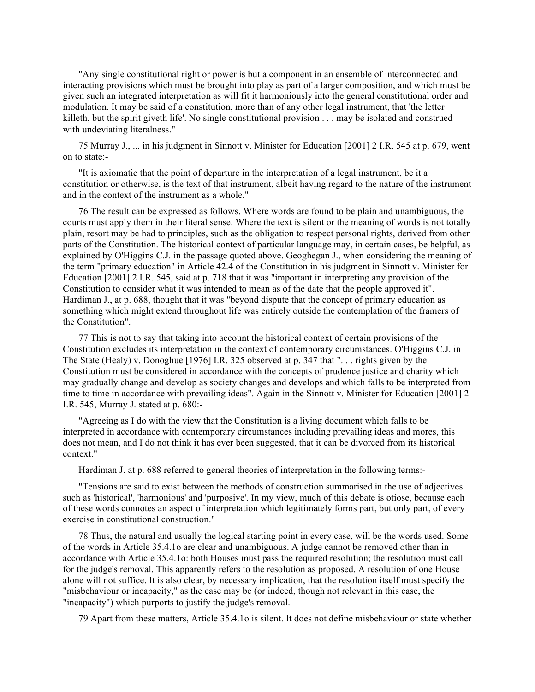"Any single constitutional right or power is but a component in an ensemble of interconnected and interacting provisions which must be brought into play as part of a larger composition, and which must be given such an integrated interpretation as will fit it harmoniously into the general constitutional order and modulation. It may be said of a constitution, more than of any other legal instrument, that 'the letter killeth, but the spirit giveth life'. No single constitutional provision . . . may be isolated and construed with undeviating literalness."

75 Murray J., ... in his judgment in Sinnott v. Minister for Education [2001] 2 I.R. 545 at p. 679, went on to state:-

"It is axiomatic that the point of departure in the interpretation of a legal instrument, be it a constitution or otherwise, is the text of that instrument, albeit having regard to the nature of the instrument and in the context of the instrument as a whole."

76 The result can be expressed as follows. Where words are found to be plain and unambiguous, the courts must apply them in their literal sense. Where the text is silent or the meaning of words is not totally plain, resort may be had to principles, such as the obligation to respect personal rights, derived from other parts of the Constitution. The historical context of particular language may, in certain cases, be helpful, as explained by O'Higgins C.J. in the passage quoted above. Geoghegan J., when considering the meaning of the term "primary education" in Article 42.4 of the Constitution in his judgment in Sinnott v. Minister for Education [2001] 2 I.R. 545, said at p. 718 that it was "important in interpreting any provision of the Constitution to consider what it was intended to mean as of the date that the people approved it". Hardiman J., at p. 688, thought that it was "beyond dispute that the concept of primary education as something which might extend throughout life was entirely outside the contemplation of the framers of the Constitution".

77 This is not to say that taking into account the historical context of certain provisions of the Constitution excludes its interpretation in the context of contemporary circumstances. O'Higgins C.J. in The State (Healy) v. Donoghue [1976] I.R. 325 observed at p. 347 that ". . . rights given by the Constitution must be considered in accordance with the concepts of prudence justice and charity which may gradually change and develop as society changes and develops and which falls to be interpreted from time to time in accordance with prevailing ideas". Again in the Sinnott v. Minister for Education [2001] 2 I.R. 545, Murray J. stated at p. 680:-

"Agreeing as I do with the view that the Constitution is a living document which falls to be interpreted in accordance with contemporary circumstances including prevailing ideas and mores, this does not mean, and I do not think it has ever been suggested, that it can be divorced from its historical context."

Hardiman J. at p. 688 referred to general theories of interpretation in the following terms:-

"Tensions are said to exist between the methods of construction summarised in the use of adjectives such as 'historical', 'harmonious' and 'purposive'. In my view, much of this debate is otiose, because each of these words connotes an aspect of interpretation which legitimately forms part, but only part, of every exercise in constitutional construction."

78 Thus, the natural and usually the logical starting point in every case, will be the words used. Some of the words in Article 35.4.1o are clear and unambiguous. A judge cannot be removed other than in accordance with Article 35.4.1o: both Houses must pass the required resolution; the resolution must call for the judge's removal. This apparently refers to the resolution as proposed. A resolution of one House alone will not suffice. It is also clear, by necessary implication, that the resolution itself must specify the "misbehaviour or incapacity," as the case may be (or indeed, though not relevant in this case, the "incapacity") which purports to justify the judge's removal.

79 Apart from these matters, Article 35.4.1o is silent. It does not define misbehaviour or state whether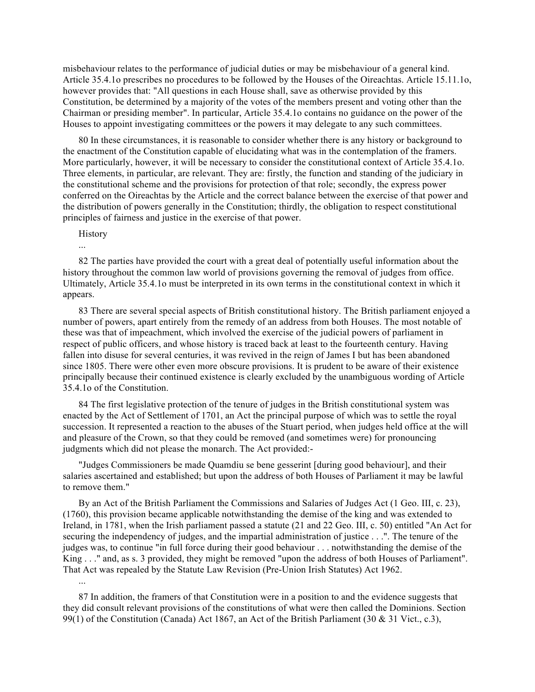misbehaviour relates to the performance of judicial duties or may be misbehaviour of a general kind. Article 35.4.1o prescribes no procedures to be followed by the Houses of the Oireachtas. Article 15.11.1o, however provides that: "All questions in each House shall, save as otherwise provided by this Constitution, be determined by a majority of the votes of the members present and voting other than the Chairman or presiding member". In particular, Article 35.4.1o contains no guidance on the power of the Houses to appoint investigating committees or the powers it may delegate to any such committees.

80 In these circumstances, it is reasonable to consider whether there is any history or background to the enactment of the Constitution capable of elucidating what was in the contemplation of the framers. More particularly, however, it will be necessary to consider the constitutional context of Article 35.4.1o. Three elements, in particular, are relevant. They are: firstly, the function and standing of the judiciary in the constitutional scheme and the provisions for protection of that role; secondly, the express power conferred on the Oireachtas by the Article and the correct balance between the exercise of that power and the distribution of powers generally in the Constitution; thirdly, the obligation to respect constitutional principles of fairness and justice in the exercise of that power.

History

...

...

82 The parties have provided the court with a great deal of potentially useful information about the history throughout the common law world of provisions governing the removal of judges from office. Ultimately, Article 35.4.1o must be interpreted in its own terms in the constitutional context in which it appears.

83 There are several special aspects of British constitutional history. The British parliament enjoyed a number of powers, apart entirely from the remedy of an address from both Houses. The most notable of these was that of impeachment, which involved the exercise of the judicial powers of parliament in respect of public officers, and whose history is traced back at least to the fourteenth century. Having fallen into disuse for several centuries, it was revived in the reign of James I but has been abandoned since 1805. There were other even more obscure provisions. It is prudent to be aware of their existence principally because their continued existence is clearly excluded by the unambiguous wording of Article 35.4.1o of the Constitution.

84 The first legislative protection of the tenure of judges in the British constitutional system was enacted by the Act of Settlement of 1701, an Act the principal purpose of which was to settle the royal succession. It represented a reaction to the abuses of the Stuart period, when judges held office at the will and pleasure of the Crown, so that they could be removed (and sometimes were) for pronouncing judgments which did not please the monarch. The Act provided:-

"Judges Commissioners be made Quamdiu se bene gesserint [during good behaviour], and their salaries ascertained and established; but upon the address of both Houses of Parliament it may be lawful to remove them."

By an Act of the British Parliament the Commissions and Salaries of Judges Act (1 Geo. III, c. 23), (1760), this provision became applicable notwithstanding the demise of the king and was extended to Ireland, in 1781, when the Irish parliament passed a statute (21 and 22 Geo. III, c. 50) entitled "An Act for securing the independency of judges, and the impartial administration of justice . . .". The tenure of the judges was, to continue "in full force during their good behaviour . . . notwithstanding the demise of the King . . ." and, as s. 3 provided, they might be removed "upon the address of both Houses of Parliament". That Act was repealed by the Statute Law Revision (Pre-Union Irish Statutes) Act 1962.

87 In addition, the framers of that Constitution were in a position to and the evidence suggests that they did consult relevant provisions of the constitutions of what were then called the Dominions. Section 99(1) of the Constitution (Canada) Act 1867, an Act of the British Parliament (30 & 31 Vict., c.3),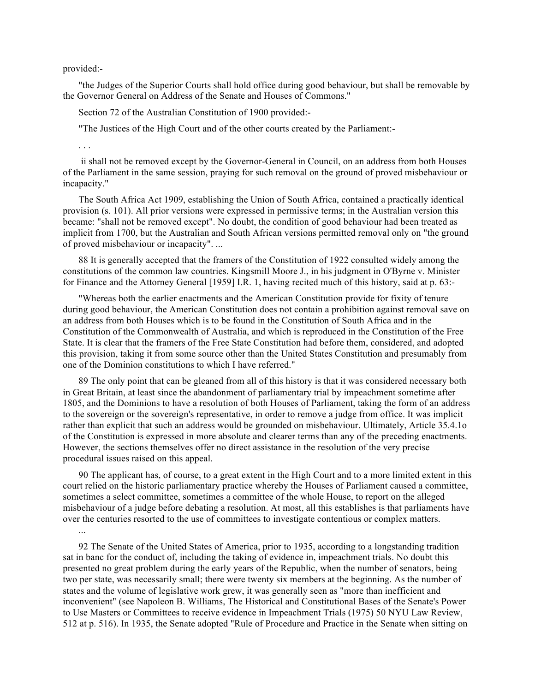provided:-

"the Judges of the Superior Courts shall hold office during good behaviour, but shall be removable by the Governor General on Address of the Senate and Houses of Commons."

Section 72 of the Australian Constitution of 1900 provided:-

"The Justices of the High Court and of the other courts created by the Parliament:-

. . .

...

ii shall not be removed except by the Governor-General in Council, on an address from both Houses of the Parliament in the same session, praying for such removal on the ground of proved misbehaviour or incapacity."

The South Africa Act 1909, establishing the Union of South Africa, contained a practically identical provision (s. 101). All prior versions were expressed in permissive terms; in the Australian version this became: "shall not be removed except". No doubt, the condition of good behaviour had been treated as implicit from 1700, but the Australian and South African versions permitted removal only on "the ground of proved misbehaviour or incapacity". ...

88 It is generally accepted that the framers of the Constitution of 1922 consulted widely among the constitutions of the common law countries. Kingsmill Moore J., in his judgment in O'Byrne v. Minister for Finance and the Attorney General [1959] I.R. 1, having recited much of this history, said at p. 63:-

"Whereas both the earlier enactments and the American Constitution provide for fixity of tenure during good behaviour, the American Constitution does not contain a prohibition against removal save on an address from both Houses which is to be found in the Constitution of South Africa and in the Constitution of the Commonwealth of Australia, and which is reproduced in the Constitution of the Free State. It is clear that the framers of the Free State Constitution had before them, considered, and adopted this provision, taking it from some source other than the United States Constitution and presumably from one of the Dominion constitutions to which I have referred."

89 The only point that can be gleaned from all of this history is that it was considered necessary both in Great Britain, at least since the abandonment of parliamentary trial by impeachment sometime after 1805, and the Dominions to have a resolution of both Houses of Parliament, taking the form of an address to the sovereign or the sovereign's representative, in order to remove a judge from office. It was implicit rather than explicit that such an address would be grounded on misbehaviour. Ultimately, Article 35.4.1o of the Constitution is expressed in more absolute and clearer terms than any of the preceding enactments. However, the sections themselves offer no direct assistance in the resolution of the very precise procedural issues raised on this appeal.

90 The applicant has, of course, to a great extent in the High Court and to a more limited extent in this court relied on the historic parliamentary practice whereby the Houses of Parliament caused a committee, sometimes a select committee, sometimes a committee of the whole House, to report on the alleged misbehaviour of a judge before debating a resolution. At most, all this establishes is that parliaments have over the centuries resorted to the use of committees to investigate contentious or complex matters.

92 The Senate of the United States of America, prior to 1935, according to a longstanding tradition sat in banc for the conduct of, including the taking of evidence in, impeachment trials. No doubt this presented no great problem during the early years of the Republic, when the number of senators, being two per state, was necessarily small; there were twenty six members at the beginning. As the number of states and the volume of legislative work grew, it was generally seen as "more than inefficient and inconvenient" (see Napoleon B. Williams, The Historical and Constitutional Bases of the Senate's Power to Use Masters or Committees to receive evidence in Impeachment Trials (1975) 50 NYU Law Review, 512 at p. 516). In 1935, the Senate adopted "Rule of Procedure and Practice in the Senate when sitting on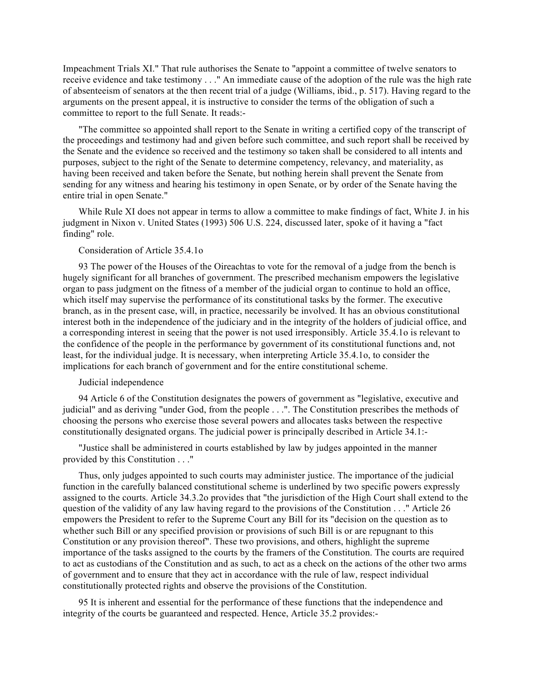Impeachment Trials XI." That rule authorises the Senate to "appoint a committee of twelve senators to receive evidence and take testimony . . ." An immediate cause of the adoption of the rule was the high rate of absenteeism of senators at the then recent trial of a judge (Williams, ibid., p. 517). Having regard to the arguments on the present appeal, it is instructive to consider the terms of the obligation of such a committee to report to the full Senate. It reads:-

"The committee so appointed shall report to the Senate in writing a certified copy of the transcript of the proceedings and testimony had and given before such committee, and such report shall be received by the Senate and the evidence so received and the testimony so taken shall be considered to all intents and purposes, subject to the right of the Senate to determine competency, relevancy, and materiality, as having been received and taken before the Senate, but nothing herein shall prevent the Senate from sending for any witness and hearing his testimony in open Senate, or by order of the Senate having the entire trial in open Senate."

While Rule XI does not appear in terms to allow a committee to make findings of fact, White J. in his judgment in Nixon v. United States (1993) 506 U.S. 224, discussed later, spoke of it having a "fact finding" role.

# Consideration of Article 35.4.1o

93 The power of the Houses of the Oireachtas to vote for the removal of a judge from the bench is hugely significant for all branches of government. The prescribed mechanism empowers the legislative organ to pass judgment on the fitness of a member of the judicial organ to continue to hold an office, which itself may supervise the performance of its constitutional tasks by the former. The executive branch, as in the present case, will, in practice, necessarily be involved. It has an obvious constitutional interest both in the independence of the judiciary and in the integrity of the holders of judicial office, and a corresponding interest in seeing that the power is not used irresponsibly. Article 35.4.1o is relevant to the confidence of the people in the performance by government of its constitutional functions and, not least, for the individual judge. It is necessary, when interpreting Article 35.4.1o, to consider the implications for each branch of government and for the entire constitutional scheme.

## Judicial independence

94 Article 6 of the Constitution designates the powers of government as "legislative, executive and judicial" and as deriving "under God, from the people . . .". The Constitution prescribes the methods of choosing the persons who exercise those several powers and allocates tasks between the respective constitutionally designated organs. The judicial power is principally described in Article 34.1:-

"Justice shall be administered in courts established by law by judges appointed in the manner provided by this Constitution . . ."

Thus, only judges appointed to such courts may administer justice. The importance of the judicial function in the carefully balanced constitutional scheme is underlined by two specific powers expressly assigned to the courts. Article 34.3.2o provides that "the jurisdiction of the High Court shall extend to the question of the validity of any law having regard to the provisions of the Constitution . . ." Article 26 empowers the President to refer to the Supreme Court any Bill for its "decision on the question as to whether such Bill or any specified provision or provisions of such Bill is or are repugnant to this Constitution or any provision thereof". These two provisions, and others, highlight the supreme importance of the tasks assigned to the courts by the framers of the Constitution. The courts are required to act as custodians of the Constitution and as such, to act as a check on the actions of the other two arms of government and to ensure that they act in accordance with the rule of law, respect individual constitutionally protected rights and observe the provisions of the Constitution.

95 It is inherent and essential for the performance of these functions that the independence and integrity of the courts be guaranteed and respected. Hence, Article 35.2 provides:-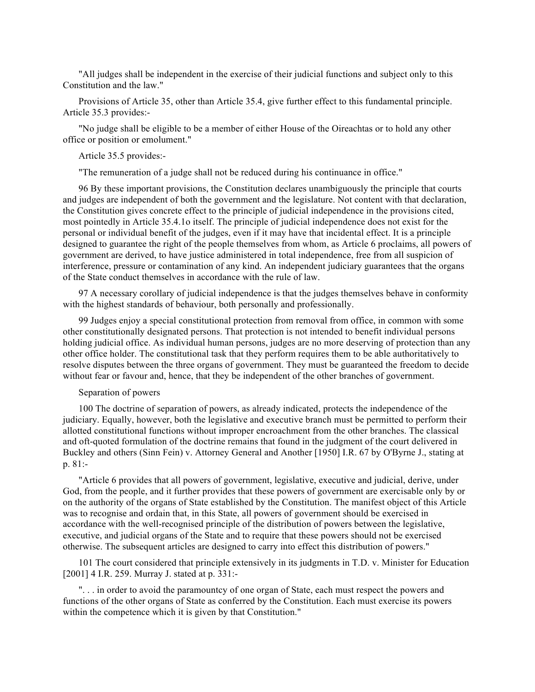"All judges shall be independent in the exercise of their judicial functions and subject only to this Constitution and the law."

Provisions of Article 35, other than Article 35.4, give further effect to this fundamental principle. Article 35.3 provides:-

"No judge shall be eligible to be a member of either House of the Oireachtas or to hold any other office or position or emolument."

Article 35.5 provides:-

"The remuneration of a judge shall not be reduced during his continuance in office."

96 By these important provisions, the Constitution declares unambiguously the principle that courts and judges are independent of both the government and the legislature. Not content with that declaration, the Constitution gives concrete effect to the principle of judicial independence in the provisions cited, most pointedly in Article 35.4.1o itself. The principle of judicial independence does not exist for the personal or individual benefit of the judges, even if it may have that incidental effect. It is a principle designed to guarantee the right of the people themselves from whom, as Article 6 proclaims, all powers of government are derived, to have justice administered in total independence, free from all suspicion of interference, pressure or contamination of any kind. An independent judiciary guarantees that the organs of the State conduct themselves in accordance with the rule of law.

97 A necessary corollary of judicial independence is that the judges themselves behave in conformity with the highest standards of behaviour, both personally and professionally.

99 Judges enjoy a special constitutional protection from removal from office, in common with some other constitutionally designated persons. That protection is not intended to benefit individual persons holding judicial office. As individual human persons, judges are no more deserving of protection than any other office holder. The constitutional task that they perform requires them to be able authoritatively to resolve disputes between the three organs of government. They must be guaranteed the freedom to decide without fear or favour and, hence, that they be independent of the other branches of government.

## Separation of powers

100 The doctrine of separation of powers, as already indicated, protects the independence of the judiciary. Equally, however, both the legislative and executive branch must be permitted to perform their allotted constitutional functions without improper encroachment from the other branches. The classical and oft-quoted formulation of the doctrine remains that found in the judgment of the court delivered in Buckley and others (Sinn Fein) v. Attorney General and Another [1950] I.R. 67 by O'Byrne J., stating at p. 81:-

"Article 6 provides that all powers of government, legislative, executive and judicial, derive, under God, from the people, and it further provides that these powers of government are exercisable only by or on the authority of the organs of State established by the Constitution. The manifest object of this Article was to recognise and ordain that, in this State, all powers of government should be exercised in accordance with the well-recognised principle of the distribution of powers between the legislative, executive, and judicial organs of the State and to require that these powers should not be exercised otherwise. The subsequent articles are designed to carry into effect this distribution of powers."

101 The court considered that principle extensively in its judgments in T.D. v. Minister for Education [2001] 4 I.R. 259. Murray J. stated at p. 331:-

". . . in order to avoid the paramountcy of one organ of State, each must respect the powers and functions of the other organs of State as conferred by the Constitution. Each must exercise its powers within the competence which it is given by that Constitution."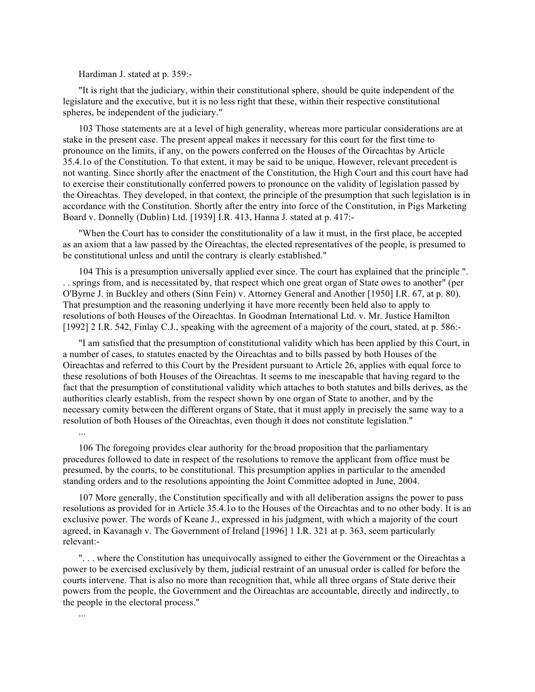Hardiman J. stated at p. 359:-

"It is right that the judiciary, within their constitutional sphere, should be quite independent of the legislature and the executive, but it is no less right that these, within their respective constitutional spheres, be independent of the judiciary."

103 Those statements are at a level of high generality, whereas more particular considerations are at stake in the present case. The present appeal makes it necessary for this court for the first time to pronounce on the limits, if any, on the powers conferred on the Houses of the Oireachtas by Article 35.4.1o of the Constitution. To that extent, it may be said to be unique. However, relevant precedent is not wanting. Since shortly after the enactment of the Constitution, the High Court and this court have had to exercise their constitutionally conferred powers to pronounce on the validity of legislation passed by the Oireachtas. They developed, in that context, the principle of the presumption that such legislation is in accordance with the Constitution. Shortly after the entry into force of the Constitution, in Pigs Marketing Board v. Donnelly (Dublin) Ltd. [1939] I.R. 413, Hanna J. stated at p. 417:-

"When the Court has to consider the constitutionality of a law it must, in the first place, be accepted as an axiom that a law passed by the Oireachtas, the elected representatives of the people, is presumed to be constitutional unless and until the contrary is clearly established."

104 This is a presumption universally applied ever since. The court has explained that the principle ". . . springs from, and is necessitated by, that respect which one great organ of State owes to another" (per O'Byrne J. in Buckley and others (Sinn Fein) v. Attorney General and Another [1950] I.R. 67, at p. 80). That presumption and the reasoning underlying it have more recently been held also to apply to resolutions of both Houses of the Oireachtas. In Goodman International Ltd. v. Mr. Justice Hamilton [1992] 2 I.R. 542, Finlay C.J., speaking with the agreement of a majority of the court, stated, at p. 586:-

"I am satisfied that the presumption of constitutional validity which has been applied by this Court, in a number of cases, to statutes enacted by the Oireachtas and to bills passed by both Houses of the Oireachtas and referred to this Court by the President pursuant to Article 26, applies with equal force to these resolutions of both Houses of the Oireachtas. It seems to me inescapable that having regard to the fact that the presumption of constitutional validity which attaches to both statutes and bills derives, as the authorities clearly establish, from the respect shown by one organ of State to another, and by the necessary comity between the different organs of State, that it must apply in precisely the same way to a resolution of both Houses of the Oireachtas, even though it does not constitute legislation." ...

106 The foregoing provides clear authority for the broad proposition that the parliamentary procedures followed to date in respect of the resolutions to remove the applicant from office must be presumed, by the courts, to be constitutional. This presumption applies in particular to the amended standing orders and to the resolutions appointing the Joint Committee adopted in June, 2004.

107 More generally, the Constitution specifically and with all deliberation assigns the power to pass resolutions as provided for in Article 35.4.1o to the Houses of the Oireachtas and to no other body. It is an exclusive power. The words of Keane J., expressed in his judgment, with which a majority of the court agreed, in Kavanagh v. The Government of Ireland [1996] 1 I.R. 321 at p. 363, seem particularly relevant:-

". . . where the Constitution has unequivocally assigned to either the Government or the Oireachtas a power to be exercised exclusively by them, judicial restraint of an unusual order is called for before the courts intervene. That is also no more than recognition that, while all three organs of State derive their powers from the people, the Government and the Oireachtas are accountable, directly and indirectly, to the people in the electoral process."

...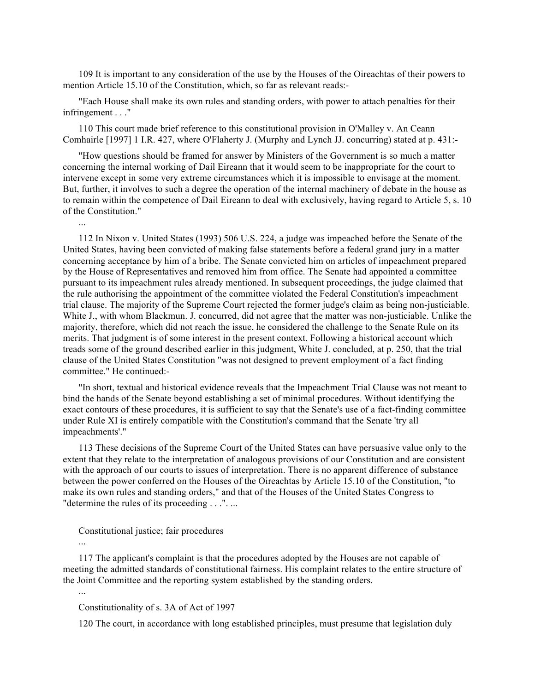109 It is important to any consideration of the use by the Houses of the Oireachtas of their powers to mention Article 15.10 of the Constitution, which, so far as relevant reads:-

"Each House shall make its own rules and standing orders, with power to attach penalties for their infringement . . ."

110 This court made brief reference to this constitutional provision in O'Malley v. An Ceann Comhairle [1997] 1 I.R. 427, where O'Flaherty J. (Murphy and Lynch JJ. concurring) stated at p. 431:-

"How questions should be framed for answer by Ministers of the Government is so much a matter concerning the internal working of Dail Eireann that it would seem to be inappropriate for the court to intervene except in some very extreme circumstances which it is impossible to envisage at the moment. But, further, it involves to such a degree the operation of the internal machinery of debate in the house as to remain within the competence of Dail Eireann to deal with exclusively, having regard to Article 5, s. 10 of the Constitution."

112 In Nixon v. United States (1993) 506 U.S. 224, a judge was impeached before the Senate of the United States, having been convicted of making false statements before a federal grand jury in a matter concerning acceptance by him of a bribe. The Senate convicted him on articles of impeachment prepared by the House of Representatives and removed him from office. The Senate had appointed a committee pursuant to its impeachment rules already mentioned. In subsequent proceedings, the judge claimed that the rule authorising the appointment of the committee violated the Federal Constitution's impeachment trial clause. The majority of the Supreme Court rejected the former judge's claim as being non-justiciable. White J., with whom Blackmun. J. concurred, did not agree that the matter was non-justiciable. Unlike the majority, therefore, which did not reach the issue, he considered the challenge to the Senate Rule on its merits. That judgment is of some interest in the present context. Following a historical account which treads some of the ground described earlier in this judgment, White J. concluded, at p. 250, that the trial clause of the United States Constitution "was not designed to prevent employment of a fact finding committee." He continued:-

"In short, textual and historical evidence reveals that the Impeachment Trial Clause was not meant to bind the hands of the Senate beyond establishing a set of minimal procedures. Without identifying the exact contours of these procedures, it is sufficient to say that the Senate's use of a fact-finding committee under Rule XI is entirely compatible with the Constitution's command that the Senate 'try all impeachments'."

113 These decisions of the Supreme Court of the United States can have persuasive value only to the extent that they relate to the interpretation of analogous provisions of our Constitution and are consistent with the approach of our courts to issues of interpretation. There is no apparent difference of substance between the power conferred on the Houses of the Oireachtas by Article 15.10 of the Constitution, "to make its own rules and standing orders," and that of the Houses of the United States Congress to "determine the rules of its proceeding . . .". ...

## Constitutional justice; fair procedures

...

...

...

117 The applicant's complaint is that the procedures adopted by the Houses are not capable of meeting the admitted standards of constitutional fairness. His complaint relates to the entire structure of the Joint Committee and the reporting system established by the standing orders.

## Constitutionality of s. 3A of Act of 1997

120 The court, in accordance with long established principles, must presume that legislation duly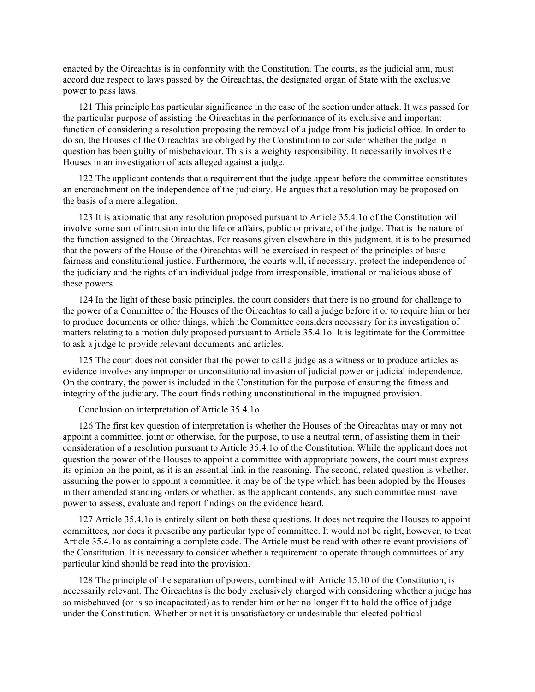enacted by the Oireachtas is in conformity with the Constitution. The courts, as the judicial arm, must accord due respect to laws passed by the Oireachtas, the designated organ of State with the exclusive power to pass laws.

121 This principle has particular significance in the case of the section under attack. It was passed for the particular purpose of assisting the Oireachtas in the performance of its exclusive and important function of considering a resolution proposing the removal of a judge from his judicial office. In order to do so, the Houses of the Oireachtas are obliged by the Constitution to consider whether the judge in question has been guilty of misbehaviour. This is a weighty responsibility. It necessarily involves the Houses in an investigation of acts alleged against a judge.

122 The applicant contends that a requirement that the judge appear before the committee constitutes an encroachment on the independence of the judiciary. He argues that a resolution may be proposed on the basis of a mere allegation.

123 It is axiomatic that any resolution proposed pursuant to Article 35.4.1o of the Constitution will involve some sort of intrusion into the life or affairs, public or private, of the judge. That is the nature of the function assigned to the Oireachtas. For reasons given elsewhere in this judgment, it is to be presumed that the powers of the House of the Oireachtas will be exercised in respect of the principles of basic fairness and constitutional justice. Furthermore, the courts will, if necessary, protect the independence of the judiciary and the rights of an individual judge from irresponsible, irrational or malicious abuse of these powers.

124 In the light of these basic principles, the court considers that there is no ground for challenge to the power of a Committee of the Houses of the Oireachtas to call a judge before it or to require him or her to produce documents or other things, which the Committee considers necessary for its investigation of matters relating to a motion duly proposed pursuant to Article 35.4.1o. It is legitimate for the Committee to ask a judge to provide relevant documents and articles.

125 The court does not consider that the power to call a judge as a witness or to produce articles as evidence involves any improper or unconstitutional invasion of judicial power or judicial independence. On the contrary, the power is included in the Constitution for the purpose of ensuring the fitness and integrity of the judiciary. The court finds nothing unconstitutional in the impugned provision.

Conclusion on interpretation of Article 35.4.1o

126 The first key question of interpretation is whether the Houses of the Oireachtas may or may not appoint a committee, joint or otherwise, for the purpose, to use a neutral term, of assisting them in their consideration of a resolution pursuant to Article 35.4.1o of the Constitution. While the applicant does not question the power of the Houses to appoint a committee with appropriate powers, the court must express its opinion on the point, as it is an essential link in the reasoning. The second, related question is whether, assuming the power to appoint a committee, it may be of the type which has been adopted by the Houses in their amended standing orders or whether, as the applicant contends, any such committee must have power to assess, evaluate and report findings on the evidence heard.

127 Article 35.4.1o is entirely silent on both these questions. It does not require the Houses to appoint committees, nor does it prescribe any particular type of committee. It would not be right, however, to treat Article 35.4.1o as containing a complete code. The Article must be read with other relevant provisions of the Constitution. It is necessary to consider whether a requirement to operate through committees of any particular kind should be read into the provision.

128 The principle of the separation of powers, combined with Article 15.10 of the Constitution, is necessarily relevant. The Oireachtas is the body exclusively charged with considering whether a judge has so misbehaved (or is so incapacitated) as to render him or her no longer fit to hold the office of judge under the Constitution. Whether or not it is unsatisfactory or undesirable that elected political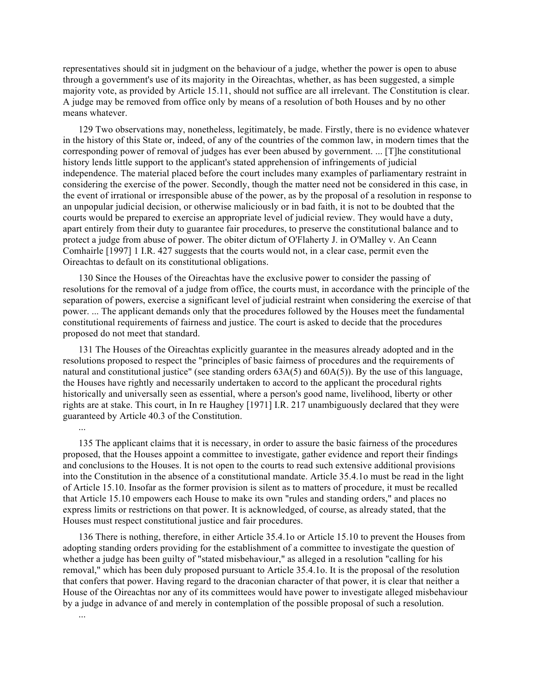representatives should sit in judgment on the behaviour of a judge, whether the power is open to abuse through a government's use of its majority in the Oireachtas, whether, as has been suggested, a simple majority vote, as provided by Article 15.11, should not suffice are all irrelevant. The Constitution is clear. A judge may be removed from office only by means of a resolution of both Houses and by no other means whatever.

129 Two observations may, nonetheless, legitimately, be made. Firstly, there is no evidence whatever in the history of this State or, indeed, of any of the countries of the common law, in modern times that the corresponding power of removal of judges has ever been abused by government. ... [T]he constitutional history lends little support to the applicant's stated apprehension of infringements of judicial independence. The material placed before the court includes many examples of parliamentary restraint in considering the exercise of the power. Secondly, though the matter need not be considered in this case, in the event of irrational or irresponsible abuse of the power, as by the proposal of a resolution in response to an unpopular judicial decision, or otherwise maliciously or in bad faith, it is not to be doubted that the courts would be prepared to exercise an appropriate level of judicial review. They would have a duty, apart entirely from their duty to guarantee fair procedures, to preserve the constitutional balance and to protect a judge from abuse of power. The obiter dictum of O'Flaherty J. in O'Malley v. An Ceann Comhairle [1997] 1 I.R. 427 suggests that the courts would not, in a clear case, permit even the Oireachtas to default on its constitutional obligations.

130 Since the Houses of the Oireachtas have the exclusive power to consider the passing of resolutions for the removal of a judge from office, the courts must, in accordance with the principle of the separation of powers, exercise a significant level of judicial restraint when considering the exercise of that power. ... The applicant demands only that the procedures followed by the Houses meet the fundamental constitutional requirements of fairness and justice. The court is asked to decide that the procedures proposed do not meet that standard.

131 The Houses of the Oireachtas explicitly guarantee in the measures already adopted and in the resolutions proposed to respect the "principles of basic fairness of procedures and the requirements of natural and constitutional justice" (see standing orders  $63A(5)$  and  $60A(5)$ ). By the use of this language, the Houses have rightly and necessarily undertaken to accord to the applicant the procedural rights historically and universally seen as essential, where a person's good name, livelihood, liberty or other rights are at stake. This court, in In re Haughey [1971] I.R. 217 unambiguously declared that they were guaranteed by Article 40.3 of the Constitution.

135 The applicant claims that it is necessary, in order to assure the basic fairness of the procedures proposed, that the Houses appoint a committee to investigate, gather evidence and report their findings and conclusions to the Houses. It is not open to the courts to read such extensive additional provisions into the Constitution in the absence of a constitutional mandate. Article 35.4.1o must be read in the light of Article 15.10. Insofar as the former provision is silent as to matters of procedure, it must be recalled that Article 15.10 empowers each House to make its own "rules and standing orders," and places no express limits or restrictions on that power. It is acknowledged, of course, as already stated, that the Houses must respect constitutional justice and fair procedures.

136 There is nothing, therefore, in either Article 35.4.1o or Article 15.10 to prevent the Houses from adopting standing orders providing for the establishment of a committee to investigate the question of whether a judge has been guilty of "stated misbehaviour," as alleged in a resolution "calling for his removal," which has been duly proposed pursuant to Article 35.4.1o. It is the proposal of the resolution that confers that power. Having regard to the draconian character of that power, it is clear that neither a House of the Oireachtas nor any of its committees would have power to investigate alleged misbehaviour by a judge in advance of and merely in contemplation of the possible proposal of such a resolution.

...